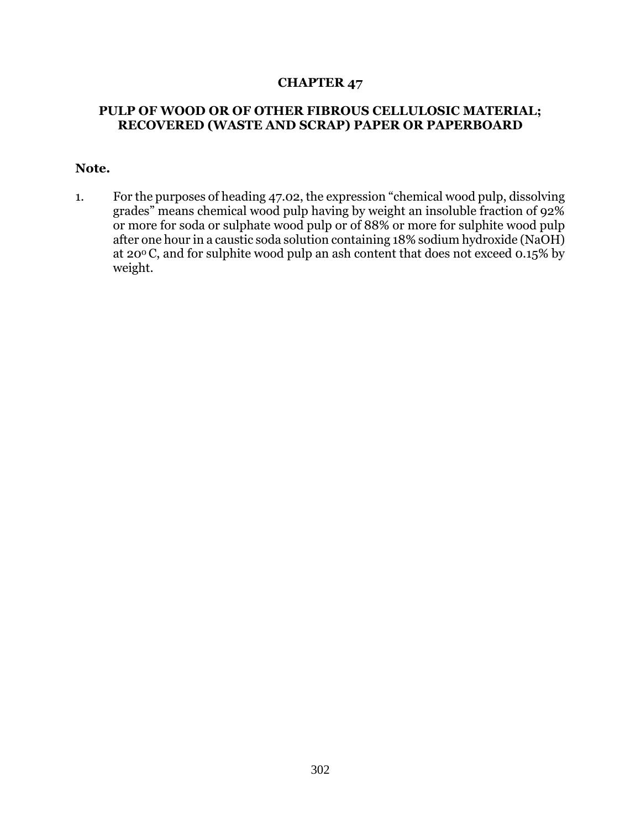## **CHAPTER 47**

## **PULP OF WOOD OR OF OTHER FIBROUS CELLULOSIC MATERIAL; RECOVERED (WASTE AND SCRAP) PAPER OR PAPERBOARD**

## **Note.**

1. For the purposes of heading 47.02, the expression "chemical wood pulp, dissolving grades" means chemical wood pulp having by weight an insoluble fraction of 92% or more for soda or sulphate wood pulp or of 88% or more for sulphite wood pulp after one hour in a caustic soda solution containing 18% sodium hydroxide (NaOH) at 200 C, and for sulphite wood pulp an ash content that does not exceed 0.15% by weight.